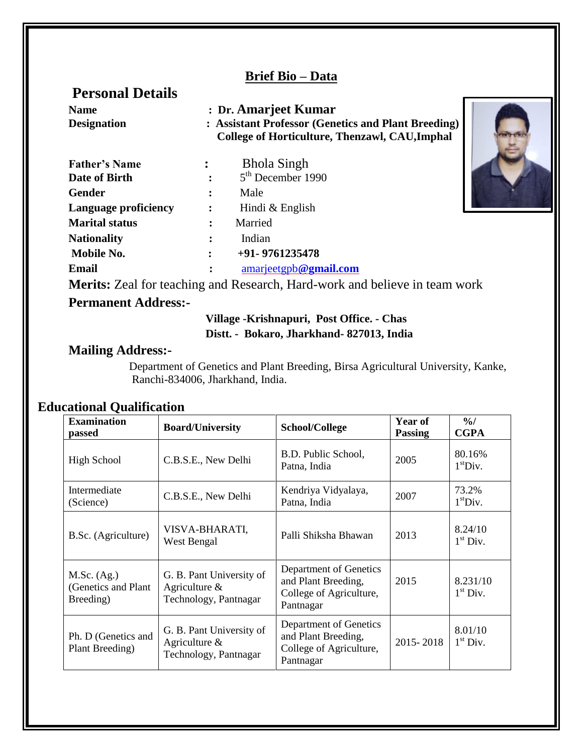### **Brief Bio – Data**

# **Personal Details**

| <b>Name</b><br><b>Designation</b> | : Dr. Amarjeet Kumar<br>: Assistant Professor (Genetics and Plant Breeding)<br>College of Horticulture, Thenzawl, CAU, Imphal |                              |  |  |  |
|-----------------------------------|-------------------------------------------------------------------------------------------------------------------------------|------------------------------|--|--|--|
| <b>Father's Name</b>              |                                                                                                                               | <b>Bhola Singh</b>           |  |  |  |
| Date of Birth                     |                                                                                                                               | $5th$ December 1990          |  |  |  |
| <b>Gender</b>                     | $\ddot{\cdot}$                                                                                                                | Male                         |  |  |  |
| Language proficiency              | $\ddot{\cdot}$                                                                                                                | Hindi & English              |  |  |  |
| <b>Marital status</b>             | $\ddot{\cdot}$                                                                                                                | Married                      |  |  |  |
| <b>Nationality</b>                | $\ddot{\cdot}$                                                                                                                | Indian                       |  |  |  |
| Mobile No.                        |                                                                                                                               | $+91 - 9761235478$           |  |  |  |
| Email                             | $\ddot{\cdot}$                                                                                                                | amarjeetgb@ <b>gmail.com</b> |  |  |  |
|                                   |                                                                                                                               |                              |  |  |  |



**Merits:** Zeal for teaching and Research, Hard-work and believe in team work

#### **Permanent Address:-**

#### **Village -Krishnapuri, Post Office. - Chas Distt. - Bokaro, Jharkhand- 827013, India**

#### **Mailing Address:-**

 Department of Genetics and Plant Breeding, Birsa Agricultural University, Kanke, Ranchi-834006, Jharkhand, India.

## **Educational Qualification**

| <b>Examination</b><br><b>Board/University</b><br>passed |                                                                       | School/College                                                                        | <b>Year of</b><br><b>Passing</b> | $\frac{9}{6}$<br><b>CGPA</b>   |
|---------------------------------------------------------|-----------------------------------------------------------------------|---------------------------------------------------------------------------------------|----------------------------------|--------------------------------|
| <b>High School</b>                                      | C.B.S.E., New Delhi                                                   | B.D. Public School,<br>Patna, India                                                   | 2005                             | 80.16%<br>1 <sup>st</sup> Div. |
| Intermediate<br>(Science)                               | Kendriya Vidyalaya,<br>C.B.S.E., New Delhi<br>Patna, India            |                                                                                       | 2007                             | 73.2%<br>1 <sup>st</sup> Div.  |
| VISVA-BHARATI,<br>B.Sc. (Agriculture)<br>West Bengal    |                                                                       | Palli Shiksha Bhawan                                                                  | 2013                             | 8.24/10<br>$1st$ Div.          |
| M.Sc. (Ag.)<br>(Genetics and Plant<br>Breeding)         | G. B. Pant University of<br>Agriculture $&$<br>Technology, Pantnagar  | Department of Genetics<br>and Plant Breeding,<br>College of Agriculture,<br>Pantnagar | 2015                             | 8.231/10<br>$1st$ Div.         |
| Ph. D (Genetics and<br>Plant Breeding)                  | G. B. Pant University of<br>Agriculture $\&$<br>Technology, Pantnagar | Department of Genetics<br>and Plant Breeding,<br>College of Agriculture,<br>Pantnagar | 2015-2018                        | 8.01/10<br>$1st$ Div.          |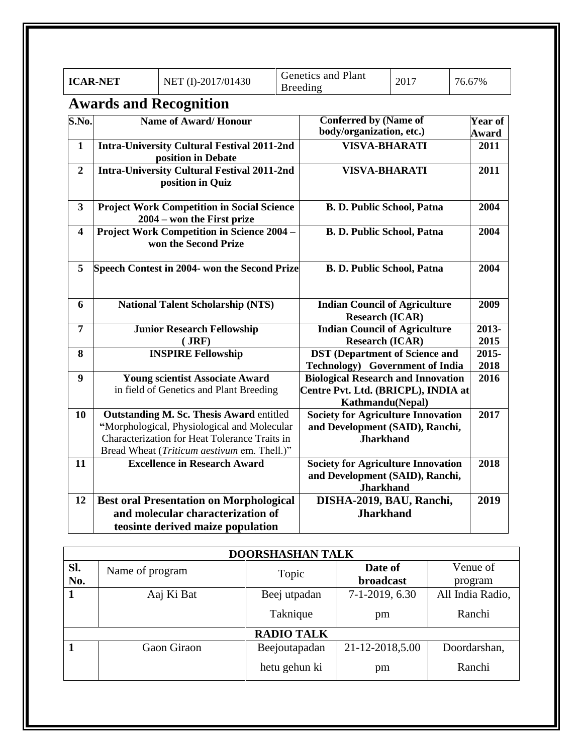|                         | <b>ICAR-NET</b><br>NET (I)-2017/01430                                                                                                                                                     |                                                                                                                                                                                         |                                                                | Genetics and Plant<br><b>Breeding</b>                    | 2017                                                                                             | 76.67%                  |
|-------------------------|-------------------------------------------------------------------------------------------------------------------------------------------------------------------------------------------|-----------------------------------------------------------------------------------------------------------------------------------------------------------------------------------------|----------------------------------------------------------------|----------------------------------------------------------|--------------------------------------------------------------------------------------------------|-------------------------|
|                         |                                                                                                                                                                                           | <b>Awards and Recognition</b>                                                                                                                                                           |                                                                |                                                          |                                                                                                  |                         |
| S.No.                   | <b>Name of Award/Honour</b>                                                                                                                                                               |                                                                                                                                                                                         |                                                                | <b>Conferred by (Name of</b><br>body/organization, etc.) |                                                                                                  | Year of<br><b>Award</b> |
| 1                       | <b>Intra-University Cultural Festival 2011-2nd</b><br>position in Debate                                                                                                                  |                                                                                                                                                                                         |                                                                | <b>VISVA-BHARATI</b>                                     |                                                                                                  | 2011                    |
| $\overline{2}$          | <b>Intra-University Cultural Festival 2011-2nd</b><br>position in Quiz                                                                                                                    |                                                                                                                                                                                         |                                                                | <b>VISVA-BHARATI</b>                                     |                                                                                                  | 2011                    |
| 3                       |                                                                                                                                                                                           | <b>Project Work Competition in Social Science</b><br>2004 – won the First prize                                                                                                         |                                                                | <b>B. D. Public School, Patna</b>                        |                                                                                                  | 2004                    |
| $\overline{\mathbf{4}}$ | <b>Project Work Competition in Science 2004 -</b><br>won the Second Prize                                                                                                                 |                                                                                                                                                                                         |                                                                | <b>B. D. Public School, Patna</b>                        |                                                                                                  | 2004                    |
| 5                       | Speech Contest in 2004- won the Second Prize                                                                                                                                              |                                                                                                                                                                                         |                                                                | <b>B. D. Public School, Patna</b>                        |                                                                                                  | 2004                    |
| 6                       | <b>National Talent Scholarship (NTS)</b><br><b>Indian Council of Agriculture</b><br><b>Research (ICAR)</b>                                                                                |                                                                                                                                                                                         |                                                                | 2009                                                     |                                                                                                  |                         |
| $\overline{7}$          | <b>Junior Research Fellowship</b><br>$($ JRF $)$                                                                                                                                          |                                                                                                                                                                                         | <b>Indian Council of Agriculture</b><br><b>Research (ICAR)</b> |                                                          | 2013-<br>2015                                                                                    |                         |
| 8                       |                                                                                                                                                                                           | <b>INSPIRE Fellowship</b><br><b>DST</b> (Department of Science and<br><b>Technology)</b> Government of India                                                                            |                                                                | 2015-<br>2018                                            |                                                                                                  |                         |
| 9                       | <b>Young scientist Associate Award</b><br><b>Biological Research and Innovation</b><br>in field of Genetics and Plant Breeding<br>Centre Pvt. Ltd. (BRICPL), INDIA at<br>Kathmandu(Nepal) |                                                                                                                                                                                         |                                                                | 2016                                                     |                                                                                                  |                         |
| 10                      |                                                                                                                                                                                           | Outstanding M. Sc. Thesis Award entitled<br>"Morphological, Physiological and Molecular<br>Characterization for Heat Tolerance Traits in<br>Bread Wheat (Triticum aestivum em. Thell.)" |                                                                |                                                          | <b>Society for Agriculture Innovation</b><br>and Development (SAID), Ranchi,<br><b>Jharkhand</b> | 2017                    |
| 11                      |                                                                                                                                                                                           | <b>Excellence in Research Award</b>                                                                                                                                                     |                                                                |                                                          | <b>Society for Agriculture Innovation</b><br>and Development (SAID), Ranchi,<br><b>Jharkhand</b> | 2018                    |
| 12                      |                                                                                                                                                                                           | <b>Best oral Presentation on Morphological</b><br>and molecular characterization of<br>teosinte derived maize population                                                                |                                                                |                                                          | DISHA-2019, BAU, Ranchi,<br><b>Jharkhand</b>                                                     | 2019                    |

| <b>DOORSHASHAN TALK</b> |                 |               |                 |                  |  |  |
|-------------------------|-----------------|---------------|-----------------|------------------|--|--|
| SI.                     | Name of program | Topic         | Date of         | Venue of         |  |  |
| No.                     |                 |               | broadcast       | program          |  |  |
|                         | Aaj Ki Bat      | Beej utpadan  | 7-1-2019, 6.30  | All India Radio, |  |  |
|                         |                 | Taknique      | pm              | Ranchi           |  |  |
| <b>RADIO TALK</b>       |                 |               |                 |                  |  |  |
|                         | Gaon Giraon     | Beejoutapadan | 21-12-2018,5.00 | Doordarshan,     |  |  |
|                         |                 | hetu gehun ki | pm              | Ranchi           |  |  |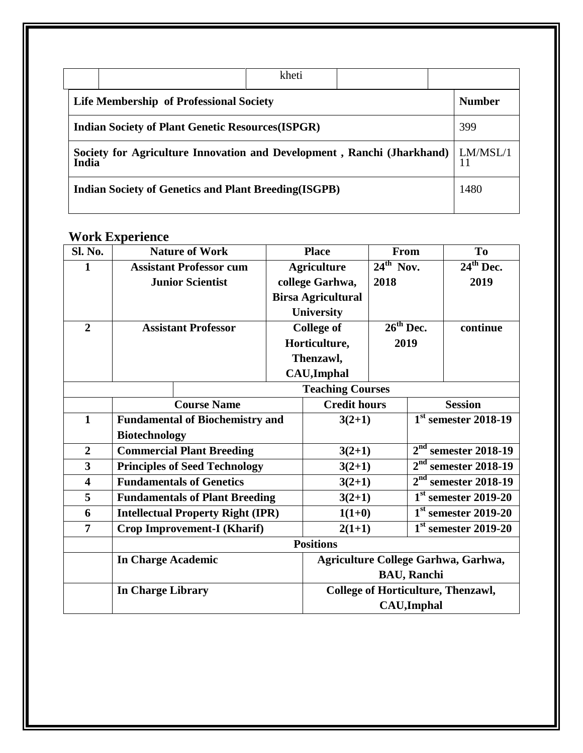|                                                                                 | kheti                                                    |      |  |
|---------------------------------------------------------------------------------|----------------------------------------------------------|------|--|
| <b>Life Membership of Professional Society</b>                                  |                                                          |      |  |
|                                                                                 | <b>Indian Society of Plant Genetic Resources (ISPGR)</b> |      |  |
| Society for Agriculture Innovation and Development, Ranchi (Jharkhand)<br>India |                                                          |      |  |
| <b>Indian Society of Genetics and Plant Breeding (ISGPB)</b>                    |                                                          | 1480 |  |

## **Work Experience**

| Sl. No.                 | <b>Nature of Work</b>                    |                    | <b>Place</b>                               |                         | <b>From</b>            | <b>To</b>              |  |
|-------------------------|------------------------------------------|--------------------|--------------------------------------------|-------------------------|------------------------|------------------------|--|
| $\mathbf{1}$            | <b>Assistant Professor cum</b>           | <b>Agriculture</b> |                                            | $24^{\text{th}}$ Nov.   |                        | $24th$ Dec.            |  |
|                         | <b>Junior Scientist</b>                  |                    | college Garhwa,                            |                         |                        | 2019                   |  |
|                         |                                          |                    | <b>Birsa Agricultural</b>                  |                         |                        |                        |  |
|                         |                                          |                    | University                                 |                         |                        |                        |  |
| $\overline{2}$          | <b>Assistant Professor</b>               | <b>College of</b>  |                                            | $26th$ Dec.             |                        | continue               |  |
|                         |                                          |                    | Horticulture,                              |                         | 2019                   |                        |  |
|                         |                                          |                    | Thenzawl,                                  |                         |                        |                        |  |
|                         |                                          |                    | CAU, Imphal                                |                         |                        |                        |  |
|                         |                                          |                    |                                            | <b>Teaching Courses</b> |                        |                        |  |
|                         | <b>Course Name</b>                       |                    | <b>Credit hours</b>                        |                         | <b>Session</b>         |                        |  |
| $\mathbf{1}$            | <b>Fundamental of Biochemistry and</b>   |                    | $3(2+1)$                                   |                         | $1st$ semester 2018-19 |                        |  |
|                         | <b>Biotechnology</b>                     |                    |                                            |                         |                        |                        |  |
| $\overline{2}$          | <b>Commercial Plant Breeding</b>         |                    | $3(2+1)$                                   |                         |                        | $2nd$ semester 2018-19 |  |
| $\overline{\mathbf{3}}$ | <b>Principles of Seed Technology</b>     |                    | $3(2+1)$                                   |                         |                        | $2nd$ semester 2018-19 |  |
| $\overline{\mathbf{4}}$ | <b>Fundamentals of Genetics</b>          |                    | $3(2+1)$                                   |                         |                        | $2nd$ semester 2018-19 |  |
| 5                       | <b>Fundamentals of Plant Breeding</b>    |                    | $3(2+1)$                                   |                         |                        | $1st$ semester 2019-20 |  |
| 6                       | <b>Intellectual Property Right (IPR)</b> |                    | $1(1+0)$                                   |                         | $1st$ semester 2019-20 |                        |  |
| $\overline{7}$          | <b>Crop Improvement-I (Kharif)</b>       |                    | $2(1+1)$                                   |                         |                        | $1st$ semester 2019-20 |  |
|                         | <b>Positions</b>                         |                    |                                            |                         |                        |                        |  |
|                         | <b>In Charge Academic</b>                |                    | <b>Agriculture College Garhwa, Garhwa,</b> |                         |                        |                        |  |
|                         |                                          |                    | <b>BAU, Ranchi</b>                         |                         |                        |                        |  |
|                         | In Charge Library                        |                    | <b>College of Horticulture, Thenzawl,</b>  |                         |                        |                        |  |
|                         |                                          |                    | CAU, Imphal                                |                         |                        |                        |  |